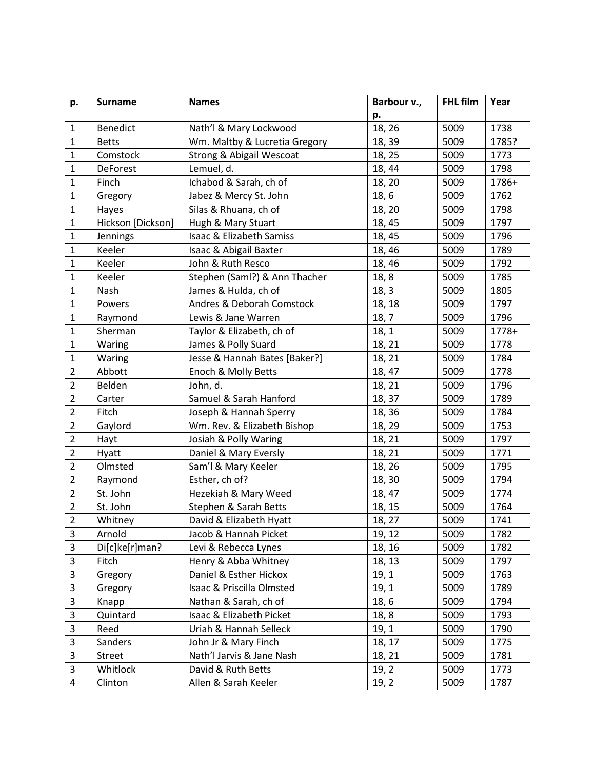| p.             | <b>Surname</b>    | <b>Names</b>                        | Barbour v., | <b>FHL film</b> | Year  |
|----------------|-------------------|-------------------------------------|-------------|-----------------|-------|
|                |                   |                                     | p.          |                 |       |
| $\mathbf 1$    | <b>Benedict</b>   | Nath'l & Mary Lockwood              | 18, 26      | 5009            | 1738  |
| $\mathbf{1}$   | <b>Betts</b>      | Wm. Maltby & Lucretia Gregory       | 18, 39      | 5009            | 1785? |
| $\mathbf{1}$   | Comstock          | <b>Strong &amp; Abigail Wescoat</b> | 18, 25      | 5009            | 1773  |
| $\mathbf 1$    | <b>DeForest</b>   | Lemuel, d.                          | 18, 44      | 5009            | 1798  |
| $\mathbf{1}$   | Finch             | Ichabod & Sarah, ch of              | 18, 20      | 5009            | 1786+ |
| $\mathbf{1}$   | Gregory           | Jabez & Mercy St. John              | 18, 6       | 5009            | 1762  |
| $\mathbf{1}$   | Hayes             | Silas & Rhuana, ch of               | 18, 20      | 5009            | 1798  |
| $\mathbf{1}$   | Hickson [Dickson] | Hugh & Mary Stuart                  | 18, 45      | 5009            | 1797  |
| $\mathbf 1$    | Jennings          | Isaac & Elizabeth Samiss            | 18, 45      | 5009            | 1796  |
| $\mathbf 1$    | Keeler            | Isaac & Abigail Baxter              | 18, 46      | 5009            | 1789  |
| 1              | Keeler            | John & Ruth Resco                   | 18,46       | 5009            | 1792  |
| $\mathbf 1$    | Keeler            | Stephen (Saml?) & Ann Thacher       | 18,8        | 5009            | 1785  |
| $\mathbf{1}$   | Nash              | James & Hulda, ch of                | 18, 3       | 5009            | 1805  |
| $\mathbf{1}$   | Powers            | Andres & Deborah Comstock           | 18, 18      | 5009            | 1797  |
| $\mathbf{1}$   | Raymond           | Lewis & Jane Warren                 | 18, 7       | 5009            | 1796  |
| $\mathbf{1}$   | Sherman           | Taylor & Elizabeth, ch of           | 18, 1       | 5009            | 1778+ |
| $\mathbf 1$    | Waring            | James & Polly Suard                 | 18, 21      | 5009            | 1778  |
| $\mathbf{1}$   | Waring            | Jesse & Hannah Bates [Baker?]       | 18, 21      | 5009            | 1784  |
| $\overline{2}$ | Abbott            | Enoch & Molly Betts                 | 18, 47      | 5009            | 1778  |
| $\overline{2}$ | Belden            | John, d.                            | 18, 21      | 5009            | 1796  |
| $\overline{2}$ | Carter            | Samuel & Sarah Hanford              | 18, 37      | 5009            | 1789  |
| $\overline{2}$ | Fitch             | Joseph & Hannah Sperry              | 18, 36      | 5009            | 1784  |
| $\overline{2}$ | Gaylord           | Wm. Rev. & Elizabeth Bishop         | 18, 29      | 5009            | 1753  |
| $\overline{2}$ | Hayt              | Josiah & Polly Waring               | 18, 21      | 5009            | 1797  |
| $\overline{2}$ | Hyatt             | Daniel & Mary Eversly               | 18, 21      | 5009            | 1771  |
| $\overline{2}$ | Olmsted           | Sam'l & Mary Keeler                 | 18, 26      | 5009            | 1795  |
| $\overline{2}$ | Raymond           | Esther, ch of?                      | 18,30       | 5009            | 1794  |
| $\overline{2}$ | St. John          | Hezekiah & Mary Weed                | 18, 47      | 5009            | 1774  |
| $\mathbf 2$    | St. John          | Stephen & Sarah Betts               | 18, 15      | 5009            | 1764  |
| $\overline{2}$ | Whitney           | David & Elizabeth Hyatt             | 18, 27      | 5009            | 1741  |
| 3              | Arnold            | Jacob & Hannah Picket               | 19, 12      | 5009            | 1782  |
| 3              | Di[c]ke[r]man?    | Levi & Rebecca Lynes                | 18, 16      | 5009            | 1782  |
| 3              | Fitch             | Henry & Abba Whitney                | 18, 13      | 5009            | 1797  |
| 3              | Gregory           | Daniel & Esther Hickox              | 19, 1       | 5009            | 1763  |
| $\mathsf 3$    | Gregory           | Isaac & Priscilla Olmsted           | 19, 1       | 5009            | 1789  |
| 3              | Knapp             | Nathan & Sarah, ch of               | 18, 6       | 5009            | 1794  |
| 3              | Quintard          | Isaac & Elizabeth Picket            | 18, 8       | 5009            | 1793  |
| 3              | Reed              | Uriah & Hannah Selleck              | 19, 1       | 5009            | 1790  |
| 3              | Sanders           | John Jr & Mary Finch                | 18, 17      | 5009            | 1775  |
| 3              | Street            | Nath'l Jarvis & Jane Nash           | 18, 21      | 5009            | 1781  |
| 3              | Whitlock          | David & Ruth Betts                  | 19, 2       | 5009            | 1773  |
| 4              | Clinton           | Allen & Sarah Keeler                | 19, 2       | 5009            | 1787  |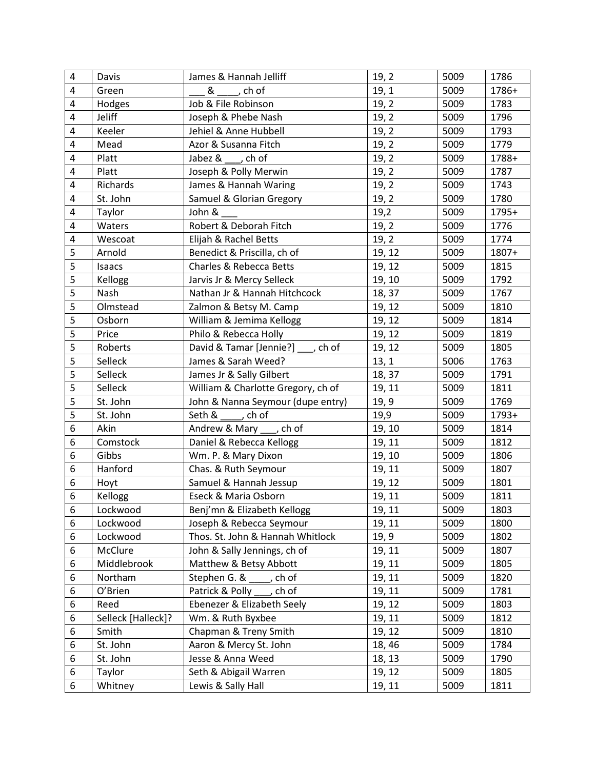| 4 | Davis              | James & Hannah Jelliff              | 19, 2  | 5009 | 1786  |
|---|--------------------|-------------------------------------|--------|------|-------|
| 4 | Green              | $\&$ _____, ch of                   | 19, 1  | 5009 | 1786+ |
| 4 | Hodges             | Job & File Robinson                 | 19, 2  | 5009 | 1783  |
| 4 | <b>Jeliff</b>      | Joseph & Phebe Nash                 | 19, 2  | 5009 | 1796  |
| 4 | Keeler             | Jehiel & Anne Hubbell               | 19, 2  | 5009 | 1793  |
| 4 | Mead               | Azor & Susanna Fitch                | 19, 2  | 5009 | 1779  |
| 4 | Platt              | Jabez & , ch of                     | 19, 2  | 5009 | 1788+ |
| 4 | Platt              | Joseph & Polly Merwin               | 19, 2  | 5009 | 1787  |
| 4 | Richards           | James & Hannah Waring               | 19, 2  | 5009 | 1743  |
| 4 | St. John           | Samuel & Glorian Gregory            | 19, 2  | 5009 | 1780  |
| 4 | Taylor             | John &                              | 19,2   | 5009 | 1795+ |
| 4 | Waters             | Robert & Deborah Fitch              | 19, 2  | 5009 | 1776  |
| 4 | Wescoat            | Elijah & Rachel Betts               | 19, 2  | 5009 | 1774  |
| 5 | Arnold             | Benedict & Priscilla, ch of         | 19, 12 | 5009 | 1807+ |
| 5 | Isaacs             | Charles & Rebecca Betts             | 19, 12 | 5009 | 1815  |
| 5 | Kellogg            | Jarvis Jr & Mercy Selleck           | 19, 10 | 5009 | 1792  |
| 5 | Nash               | Nathan Jr & Hannah Hitchcock        | 18, 37 | 5009 | 1767  |
| 5 | Olmstead           | Zalmon & Betsy M. Camp              | 19, 12 | 5009 | 1810  |
| 5 | Osborn             | William & Jemima Kellogg            | 19, 12 | 5009 | 1814  |
| 5 | Price              | Philo & Rebecca Holly               | 19, 12 | 5009 | 1819  |
| 5 | Roberts            | David & Tamar [Jennie?] ___ , ch of | 19, 12 | 5009 | 1805  |
| 5 | Selleck            | James & Sarah Weed?                 | 13, 1  | 5006 | 1763  |
| 5 | Selleck            | James Jr & Sally Gilbert            | 18, 37 | 5009 | 1791  |
| 5 | Selleck            | William & Charlotte Gregory, ch of  | 19, 11 | 5009 | 1811  |
| 5 | St. John           | John & Nanna Seymour (dupe entry)   | 19, 9  | 5009 | 1769  |
| 5 | St. John           | Seth $\&$ _____, ch of              | 19,9   | 5009 | 1793+ |
| 6 | Akin               | Andrew & Mary ___ , ch of           | 19, 10 | 5009 | 1814  |
| 6 | Comstock           | Daniel & Rebecca Kellogg            | 19, 11 | 5009 | 1812  |
| 6 | Gibbs              | Wm. P. & Mary Dixon                 | 19, 10 | 5009 | 1806  |
| 6 | Hanford            | Chas. & Ruth Seymour                | 19, 11 | 5009 | 1807  |
| 6 | Hoyt               | Samuel & Hannah Jessup              | 19, 12 | 5009 | 1801  |
| 6 | Kellogg            | Eseck & Maria Osborn                | 19, 11 | 5009 | 1811  |
| 6 | Lockwood           | Benj'mn & Elizabeth Kellogg         | 19, 11 | 5009 | 1803  |
| 6 | Lockwood           | Joseph & Rebecca Seymour            | 19, 11 | 5009 | 1800  |
| 6 | Lockwood           | Thos. St. John & Hannah Whitlock    | 19, 9  | 5009 | 1802  |
| 6 | McClure            | John & Sally Jennings, ch of        | 19, 11 | 5009 | 1807  |
| 6 | Middlebrook        | Matthew & Betsy Abbott              | 19, 11 | 5009 | 1805  |
| 6 | Northam            | Stephen G. &<br>ch of               | 19, 11 | 5009 | 1820  |
| 6 | O'Brien            | Patrick & Polly<br>, ch of          | 19, 11 | 5009 | 1781  |
| 6 | Reed               | Ebenezer & Elizabeth Seely          | 19, 12 | 5009 | 1803  |
| 6 | Selleck [Halleck]? | Wm. & Ruth Byxbee                   | 19, 11 | 5009 | 1812  |
| 6 | Smith              | Chapman & Treny Smith               | 19, 12 | 5009 | 1810  |
| 6 | St. John           | Aaron & Mercy St. John              | 18, 46 | 5009 | 1784  |
| 6 | St. John           | Jesse & Anna Weed                   | 18, 13 | 5009 | 1790  |
| 6 | Taylor             | Seth & Abigail Warren               | 19, 12 | 5009 | 1805  |
| 6 | Whitney            | Lewis & Sally Hall                  | 19, 11 | 5009 | 1811  |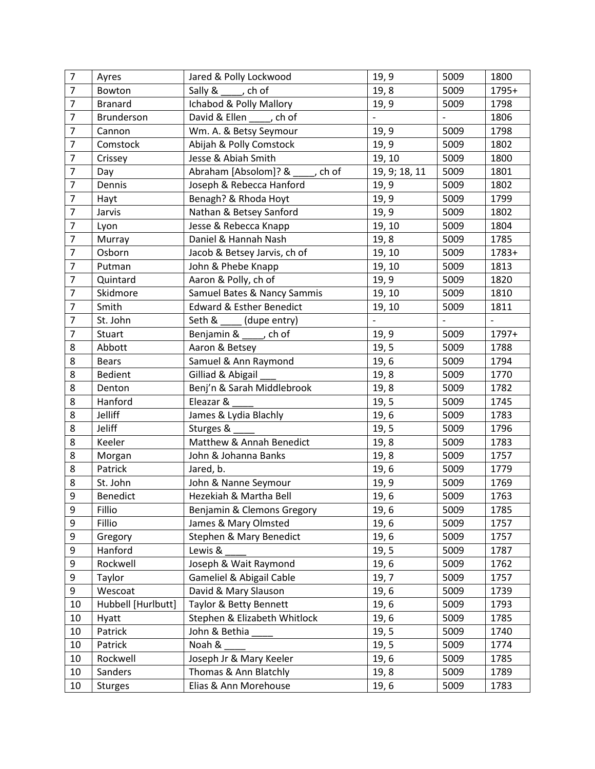| $\overline{7}$ | Ayres              | Jared & Polly Lockwood              | 19, 9                    | 5009                     | 1800  |
|----------------|--------------------|-------------------------------------|--------------------------|--------------------------|-------|
| $\overline{7}$ | Bowton             | Sally & _____, ch of                | 19, 8                    | 5009                     | 1795+ |
| $\overline{7}$ | <b>Branard</b>     | Ichabod & Polly Mallory             | 19, 9                    | 5009                     | 1798  |
| $\overline{7}$ | <b>Brunderson</b>  | David & Ellen ____, ch of           | $\overline{\phantom{0}}$ | $\overline{\phantom{a}}$ | 1806  |
| $\overline{7}$ | Cannon             | Wm. A. & Betsy Seymour              | 19, 9                    | 5009                     | 1798  |
| $\overline{7}$ | Comstock           | Abijah & Polly Comstock             | 19, 9                    | 5009                     | 1802  |
| $\overline{7}$ | Crissey            | Jesse & Abiah Smith                 | 19, 10                   | 5009                     | 1800  |
| $\overline{7}$ | Day                | Abraham [Absolom]? & , ch of        | 19, 9; 18, 11            | 5009                     | 1801  |
| $\overline{7}$ | Dennis             | Joseph & Rebecca Hanford            | 19, 9                    | 5009                     | 1802  |
| $\overline{7}$ | Hayt               | Benagh? & Rhoda Hoyt                | 19, 9                    | 5009                     | 1799  |
| $\overline{7}$ | Jarvis             | Nathan & Betsey Sanford             | 19, 9                    | 5009                     | 1802  |
| $\overline{7}$ | Lyon               | Jesse & Rebecca Knapp               | 19, 10                   | 5009                     | 1804  |
| $\overline{7}$ | Murray             | Daniel & Hannah Nash                | 19, 8                    | 5009                     | 1785  |
| $\overline{7}$ | Osborn             | Jacob & Betsey Jarvis, ch of        | 19, 10                   | 5009                     | 1783+ |
| $\overline{7}$ | Putman             | John & Phebe Knapp                  | 19, 10                   | 5009                     | 1813  |
| $\overline{7}$ | Quintard           | Aaron & Polly, ch of                | 19, 9                    | 5009                     | 1820  |
| $\overline{7}$ | Skidmore           | Samuel Bates & Nancy Sammis         | 19, 10                   | 5009                     | 1810  |
| $\overline{7}$ | Smith              | <b>Edward &amp; Esther Benedict</b> | 19, 10                   | 5009                     | 1811  |
| $\overline{7}$ | St. John           | Seth & ____ (dupe entry)            |                          |                          |       |
| $\overline{7}$ | Stuart             | Benjamin & ____, ch of              | 19, 9                    | 5009                     | 1797+ |
| 8              | Abbott             | Aaron & Betsey                      | 19, 5                    | 5009                     | 1788  |
| 8              | <b>Bears</b>       | Samuel & Ann Raymond                | 19, 6                    | 5009                     | 1794  |
| 8              | Bedient            | Gilliad & Abigail                   | 19,8                     | 5009                     | 1770  |
| 8              | Denton             | Benj'n & Sarah Middlebrook          | 19, 8                    | 5009                     | 1782  |
| 8              | Hanford            | Eleazar &                           | 19, 5                    | 5009                     | 1745  |
| 8              | Jelliff            | James & Lydia Blachly               | 19, 6                    | 5009                     | 1783  |
| 8              | Jeliff             | Sturges &                           | 19, 5                    | 5009                     | 1796  |
| 8              | Keeler             | Matthew & Annah Benedict            | 19, 8                    | 5009                     | 1783  |
| 8              | Morgan             | John & Johanna Banks                | 19, 8                    | 5009                     | 1757  |
| 8              | Patrick            | Jared, b.                           | 19, 6                    | 5009                     | 1779  |
| 8              | St. John           | John & Nanne Seymour                | 19, 9                    | 5009                     | 1769  |
| 9              | <b>Benedict</b>    | Hezekiah & Martha Bell              | 19, 6                    | 5009                     | 1763  |
| 9              | Fillio             | Benjamin & Clemons Gregory          | 19,6                     | 5009                     | 1785  |
| 9              | Fillio             | James & Mary Olmsted                | 19, 6                    | 5009                     | 1757  |
| 9              | Gregory            | Stephen & Mary Benedict             | 19, 6                    | 5009                     | 1757  |
| 9              | Hanford            | Lewis &                             | 19, 5                    | 5009                     | 1787  |
| 9              | Rockwell           | Joseph & Wait Raymond               | 19, 6                    | 5009                     | 1762  |
| 9              | Taylor             | Gameliel & Abigail Cable            | 19, 7                    | 5009                     | 1757  |
| 9              | Wescoat            | David & Mary Slauson                | 19, 6                    | 5009                     | 1739  |
| 10             | Hubbell [Hurlbutt] | Taylor & Betty Bennett              | 19,6                     | 5009                     | 1793  |
| 10             | Hyatt              | Stephen & Elizabeth Whitlock        | 19, 6                    | 5009                     | 1785  |
| 10             | Patrick            | John & Bethia                       | 19, 5                    | 5009                     | 1740  |
| 10             | Patrick            | Noah &                              | 19, 5                    | 5009                     | 1774  |
| 10             | Rockwell           | Joseph Jr & Mary Keeler             | 19, 6                    | 5009                     | 1785  |
| 10             | Sanders            | Thomas & Ann Blatchly               | 19, 8                    | 5009                     | 1789  |
| 10             | <b>Sturges</b>     | Elias & Ann Morehouse               | 19, 6                    | 5009                     | 1783  |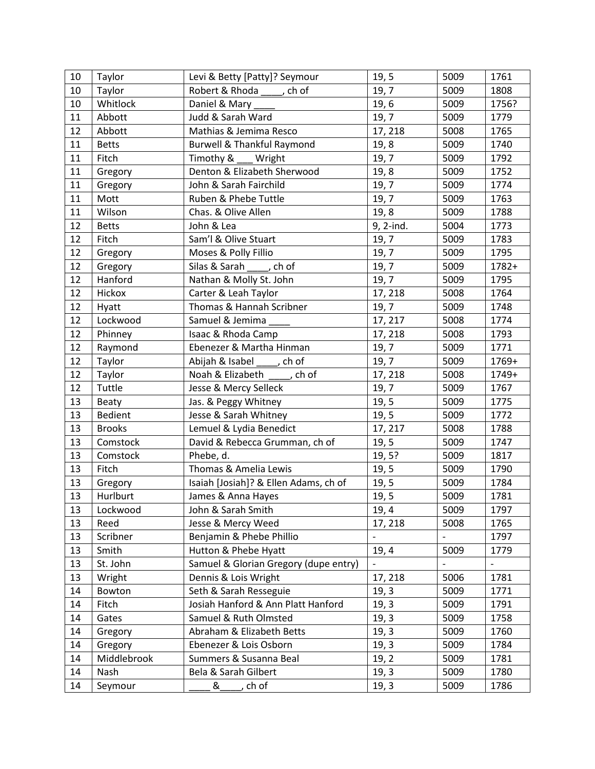| 10 | Taylor        | Levi & Betty [Patty]? Seymour         | 19, 5     | 5009 | 1761  |
|----|---------------|---------------------------------------|-----------|------|-------|
| 10 | Taylor        | Robert & Rhoda _____, ch of           | 19,7      | 5009 | 1808  |
| 10 | Whitlock      | Daniel & Mary                         | 19, 6     | 5009 | 1756? |
| 11 | Abbott        | Judd & Sarah Ward                     | 19, 7     | 5009 | 1779  |
| 12 | Abbott        | Mathias & Jemima Resco                | 17, 218   | 5008 | 1765  |
| 11 | <b>Betts</b>  | Burwell & Thankful Raymond            | 19, 8     | 5009 | 1740  |
| 11 | Fitch         | Timothy &<br>Wright                   | 19, 7     | 5009 | 1792  |
| 11 | Gregory       | Denton & Elizabeth Sherwood           | 19, 8     | 5009 | 1752  |
| 11 | Gregory       | John & Sarah Fairchild                | 19,7      | 5009 | 1774  |
| 11 | Mott          | Ruben & Phebe Tuttle                  | 19,7      | 5009 | 1763  |
| 11 | Wilson        | Chas. & Olive Allen                   | 19, 8     | 5009 | 1788  |
| 12 | <b>Betts</b>  | John & Lea                            | 9, 2-ind. | 5004 | 1773  |
| 12 | Fitch         | Sam'l & Olive Stuart                  | 19,7      | 5009 | 1783  |
| 12 | Gregory       | Moses & Polly Fillio                  | 19, 7     | 5009 | 1795  |
| 12 | Gregory       | Silas & Sarah , ch of                 | 19,7      | 5009 | 1782+ |
| 12 | Hanford       | Nathan & Molly St. John               | 19,7      | 5009 | 1795  |
| 12 | Hickox        | Carter & Leah Taylor                  | 17, 218   | 5008 | 1764  |
| 12 | Hyatt         | Thomas & Hannah Scribner              | 19, 7     | 5009 | 1748  |
| 12 | Lockwood      | Samuel & Jemima                       | 17, 217   | 5008 | 1774  |
| 12 | Phinney       | Isaac & Rhoda Camp                    | 17, 218   | 5008 | 1793  |
| 12 | Raymond       | Ebenezer & Martha Hinman              | 19, 7     | 5009 | 1771  |
| 12 | Taylor        | Abijah & Isabel _____, ch of          | 19, 7     | 5009 | 1769+ |
| 12 | Taylor        | Noah & Elizabeth, ch of               | 17, 218   | 5008 | 1749+ |
| 12 | Tuttle        | Jesse & Mercy Selleck                 | 19,7      | 5009 | 1767  |
| 13 | Beaty         | Jas. & Peggy Whitney                  | 19, 5     | 5009 | 1775  |
| 13 | Bedient       | Jesse & Sarah Whitney                 | 19, 5     | 5009 | 1772  |
| 13 | <b>Brooks</b> | Lemuel & Lydia Benedict               | 17, 217   | 5008 | 1788  |
| 13 | Comstock      | David & Rebecca Grumman, ch of        | 19, 5     | 5009 | 1747  |
| 13 | Comstock      | Phebe, d.                             | 19, 5?    | 5009 | 1817  |
| 13 | Fitch         | Thomas & Amelia Lewis                 | 19, 5     | 5009 | 1790  |
| 13 | Gregory       | Isaiah [Josiah]? & Ellen Adams, ch of | 19, 5     | 5009 | 1784  |
| 13 | Hurlburt      | James & Anna Hayes                    | 19, 5     | 5009 | 1781  |
| 13 | Lockwood      | John & Sarah Smith                    | 19, 4     | 5009 | 1797  |
| 13 | Reed          | Jesse & Mercy Weed                    | 17, 218   | 5008 | 1765  |
| 13 | Scribner      | Benjamin & Phebe Phillio              |           |      | 1797  |
| 13 | Smith         | Hutton & Phebe Hyatt                  | 19, 4     | 5009 | 1779  |
| 13 | St. John      | Samuel & Glorian Gregory (dupe entry) |           |      |       |
| 13 | Wright        | Dennis & Lois Wright                  | 17, 218   | 5006 | 1781  |
| 14 | Bowton        | Seth & Sarah Resseguie                | 19, 3     | 5009 | 1771  |
| 14 | Fitch         | Josiah Hanford & Ann Platt Hanford    | 19, 3     | 5009 | 1791  |
| 14 | Gates         | Samuel & Ruth Olmsted                 | 19, 3     | 5009 | 1758  |
| 14 | Gregory       | Abraham & Elizabeth Betts             | 19, 3     | 5009 | 1760  |
| 14 | Gregory       | Ebenezer & Lois Osborn                | 19, 3     | 5009 | 1784  |
| 14 | Middlebrook   | Summers & Susanna Beal                | 19, 2     | 5009 | 1781  |
| 14 | Nash          | Bela & Sarah Gilbert                  | 19, 3     | 5009 | 1780  |
| 14 | Seymour       | &<br>ch of                            | 19, 3     | 5009 | 1786  |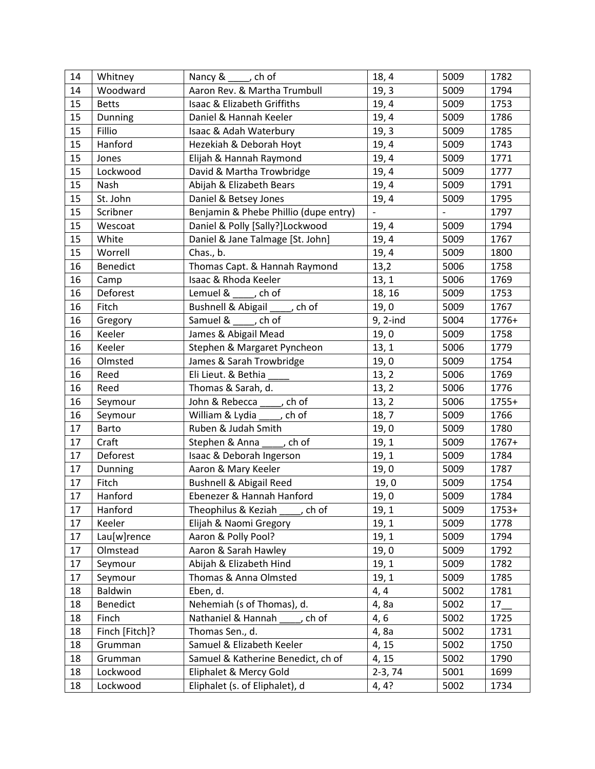| 14 | Whitney        | Nancy & , ch of                                                   | 18, 4                    | 5009           | 1782  |
|----|----------------|-------------------------------------------------------------------|--------------------------|----------------|-------|
| 14 | Woodward       | Aaron Rev. & Martha Trumbull                                      | 19, 3                    | 5009           | 1794  |
| 15 | <b>Betts</b>   | Isaac & Elizabeth Griffiths                                       | 19, 4                    | 5009           | 1753  |
| 15 | <b>Dunning</b> | Daniel & Hannah Keeler                                            | 19, 4                    | 5009           | 1786  |
| 15 | Fillio         | Isaac & Adah Waterbury                                            | 19, 3                    | 5009           | 1785  |
| 15 | Hanford        | Hezekiah & Deborah Hoyt                                           | 19, 4                    | 5009           | 1743  |
| 15 | Jones          | Elijah & Hannah Raymond                                           | 19, 4                    | 5009           | 1771  |
| 15 | Lockwood       | David & Martha Trowbridge                                         | 19, 4                    | 5009           | 1777  |
| 15 | Nash           | Abijah & Elizabeth Bears                                          | 19, 4                    | 5009           | 1791  |
| 15 | St. John       | Daniel & Betsey Jones                                             | 19, 4                    | 5009           | 1795  |
| 15 | Scribner       | Benjamin & Phebe Phillio (dupe entry)                             | $\overline{\phantom{a}}$ | $\blacksquare$ | 1797  |
| 15 | Wescoat        | Daniel & Polly [Sally?]Lockwood                                   | 19, 4                    | 5009           | 1794  |
| 15 | White          | Daniel & Jane Talmage [St. John]                                  | 19, 4                    | 5009           | 1767  |
| 15 | Worrell        | Chas., b.                                                         | 19, 4                    | 5009           | 1800  |
| 16 | Benedict       | Thomas Capt. & Hannah Raymond                                     | 13,2                     | 5006           | 1758  |
| 16 | Camp           | Isaac & Rhoda Keeler                                              | 13, 1                    | 5006           | 1769  |
| 16 | Deforest       | Lemuel & ____, ch of                                              | 18, 16                   | 5009           | 1753  |
| 16 | Fitch          | <b>Bushnell &amp; Abigail</b><br>$\overline{\phantom{a}}$ , ch of | 19,0                     | 5009           | 1767  |
| 16 | Gregory        | Samuel & _____, ch of                                             | 9, 2-ind                 | 5004           | 1776+ |
| 16 | Keeler         | James & Abigail Mead                                              | 19,0                     | 5009           | 1758  |
| 16 | Keeler         | Stephen & Margaret Pyncheon                                       | 13, 1                    | 5006           | 1779  |
| 16 | Olmsted        | James & Sarah Trowbridge                                          | 19,0                     | 5009           | 1754  |
| 16 | Reed           | Eli Lieut. & Bethia                                               | 13, 2                    | 5006           | 1769  |
| 16 | Reed           | Thomas & Sarah, d.                                                | 13, 2                    | 5006           | 1776  |
| 16 | Seymour        | John & Rebecca , ch of                                            | 13, 2                    | 5006           | 1755+ |
| 16 | Seymour        | William & Lydia _____, ch of                                      | 18, 7                    | 5009           | 1766  |
| 17 | Barto          | Ruben & Judah Smith                                               | 19,0                     | 5009           | 1780  |
| 17 | Craft          | Stephen & Anna _____, ch of                                       | 19, 1                    | 5009           | 1767+ |
| 17 | Deforest       | Isaac & Deborah Ingerson                                          | 19, 1                    | 5009           | 1784  |
| 17 | Dunning        | Aaron & Mary Keeler                                               | 19,0                     | 5009           | 1787  |
| 17 | Fitch          | <b>Bushnell &amp; Abigail Reed</b>                                | 19,0                     | 5009           | 1754  |
| 17 | Hanford        | Ebenezer & Hannah Hanford                                         | 19,0                     | 5009           | 1784  |
| 17 | Hanford        | Theophilus & Keziah<br>ch of                                      | 19, 1                    | 5009           | 1753+ |
| 17 | Keeler         | Elijah & Naomi Gregory                                            | 19, 1                    | 5009           | 1778  |
| 17 | Lau[w]rence    | Aaron & Polly Pool?                                               | 19, 1                    | 5009           | 1794  |
| 17 | Olmstead       | Aaron & Sarah Hawley                                              | 19,0                     | 5009           | 1792  |
| 17 | Seymour        | Abijah & Elizabeth Hind                                           | 19, 1                    | 5009           | 1782  |
| 17 | Seymour        | Thomas & Anna Olmsted                                             | 19, 1                    | 5009           | 1785  |
| 18 | <b>Baldwin</b> | Eben, d.                                                          | 4, 4                     | 5002           | 1781  |
| 18 | Benedict       | Nehemiah (s of Thomas), d.                                        | 4,8a                     | 5002           | 17    |
| 18 | Finch          | Nathaniel & Hannah<br>ch of                                       | 4, 6                     | 5002           | 1725  |
| 18 | Finch [Fitch]? | Thomas Sen., d.                                                   | 4,8a                     | 5002           | 1731  |
| 18 | Grumman        | Samuel & Elizabeth Keeler                                         | 4, 15                    | 5002           | 1750  |
| 18 | Grumman        | Samuel & Katherine Benedict, ch of                                | 4, 15                    | 5002           | 1790  |
| 18 | Lockwood       | Eliphalet & Mercy Gold                                            | $2-3, 74$                | 5001           | 1699  |
| 18 | Lockwood       | Eliphalet (s. of Eliphalet), d                                    | 4, 4?                    | 5002           | 1734  |